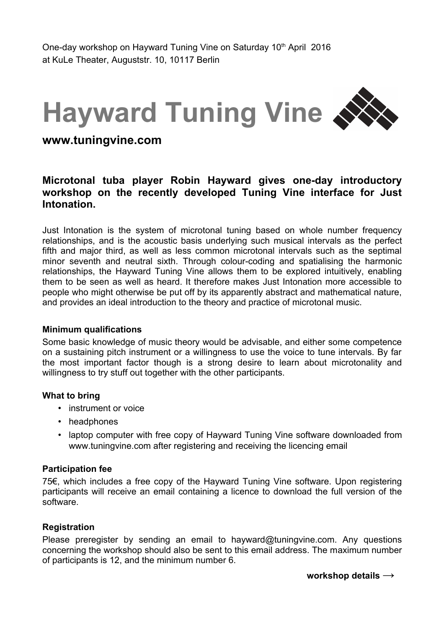# **Hayward Tuning Vine**

## **www.tuningvine.com**

### **Microtonal tuba player Robin Hayward gives one-day introductory workshop on the recently developed Tuning Vine interface for Just Intonation.**

Just Intonation is the system of microtonal tuning based on whole number frequency relationships, and is the acoustic basis underlying such musical intervals as the perfect fifth and major third, as well as less common microtonal intervals such as the septimal minor seventh and neutral sixth. Through colour-coding and spatialising the harmonic relationships, the Hayward Tuning Vine allows them to be explored intuitively, enabling them to be seen as well as heard. It therefore makes Just Intonation more accessible to people who might otherwise be put off by its apparently abstract and mathematical nature, and provides an ideal introduction to the theory and practice of microtonal music.

#### **Minimum qualifications**

Some basic knowledge of music theory would be advisable, and either some competence on a sustaining pitch instrument or a willingness to use the voice to tune intervals. By far the most important factor though is a strong desire to learn about microtonality and willingness to try stuff out together with the other participants.

#### **What to bring**

- instrument or voice
- headphones
- laptop computer with free copy of Hayward Tuning Vine software downloaded from www.tuningvine.com after registering and receiving the licencing email

#### **Participation fee**

75€, which includes a free copy of the Hayward Tuning Vine software. Upon registering participants will receive an email containing a licence to download the full version of the software.

#### **Registration**

Please preregister by sending an email to hayward@tuningvine.com. Any questions concerning the workshop should also be sent to this email address. The maximum number of participants is 12, and the minimum number 6.